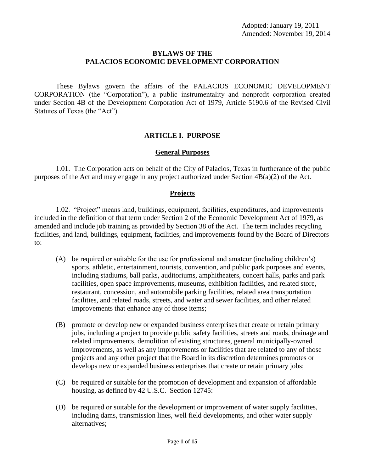## **BYLAWS OF THE PALACIOS ECONOMIC DEVELOPMENT CORPORATION**

These Bylaws govern the affairs of the PALACIOS ECONOMIC DEVELOPMENT CORPORATION (the "Corporation"), a public instrumentality and nonprofit corporation created under Section 4B of the Development Corporation Act of 1979, Article 5190.6 of the Revised Civil Statutes of Texas (the "Act").

# **ARTICLE I. PURPOSE**

## **General Purposes**

1.01. The Corporation acts on behalf of the City of Palacios, Texas in furtherance of the public purposes of the Act and may engage in any project authorized under Section 4B(a)(2) of the Act.

# **Projects**

1.02. "Project" means land, buildings, equipment, facilities, expenditures, and improvements included in the definition of that term under Section 2 of the Economic Development Act of 1979, as amended and include job training as provided by Section 38 of the Act. The term includes recycling facilities, and land, buildings, equipment, facilities, and improvements found by the Board of Directors to:

- (A) be required or suitable for the use for professional and amateur (including children's) sports, athletic, entertainment, tourists, convention, and public park purposes and events, including stadiums, ball parks, auditoriums, amphitheaters, concert halls, parks and park facilities, open space improvements, museums, exhibition facilities, and related store, restaurant, concession, and automobile parking facilities, related area transportation facilities, and related roads, streets, and water and sewer facilities, and other related improvements that enhance any of those items;
- (B) promote or develop new or expanded business enterprises that create or retain primary jobs, including a project to provide public safety facilities, streets and roads, drainage and related improvements, demolition of existing structures, general municipally-owned improvements, as well as any improvements or facilities that are related to any of those projects and any other project that the Board in its discretion determines promotes or develops new or expanded business enterprises that create or retain primary jobs;
- (C) be required or suitable for the promotion of development and expansion of affordable housing, as defined by 42 U.S.C. Section 12745:
- (D) be required or suitable for the development or improvement of water supply facilities, including dams, transmission lines, well field developments, and other water supply alternatives;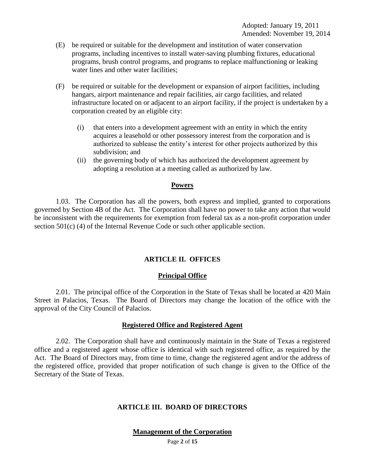- (E) be required or suitable for the development and institution of water conservation programs, including incentives to install water-saving plumbing fixtures, educational programs, brush control programs, and programs to replace malfunctioning or leaking water lines and other water facilities:
- (F) be required or suitable for the development or expansion of airport facilities, including hangars, airport maintenance and repair facilities, air cargo facilities, and related infrastructure located on or adjacent to an airport facility, if the project is undertaken by a corporation created by an eligible city:
	- (i) that enters into a development agreement with an entity in which the entity acquires a leasehold or other possessory interest from the corporation and is authorized to sublease the entity's interest for other projects authorized by this subdivision; and
	- (ii) the governing body of which has authorized the development agreement by adopting a resolution at a meeting called as authorized by law.

## **Powers**

1.03. The Corporation has all the powers, both express and implied, granted to corporations governed by Section 4B of the Act. The Corporation shall have no power to take any action that would be inconsistent with the requirements for exemption from federal tax as a non-profit corporation under section 501(c) (4) of the Internal Revenue Code or such other applicable section.

# **ARTICLE II. OFFICES**

## **Principal Office**

2.01. The principal office of the Corporation in the State of Texas shall be located at 420 Main Street in Palacios, Texas. The Board of Directors may change the location of the office with the approval of the City Council of Palacios.

## **Registered Office and Registered Agent**

2.02. The Corporation shall have and continuously maintain in the State of Texas a registered office and a registered agent whose office is identical with such registered office, as required by the Act. The Board of Directors may, from time to time, change the registered agent and/or the address of the registered office, provided that proper notification of such change is given to the Office of the Secretary of the State of Texas.

## **ARTICLE III. BOARD OF DIRECTORS**

**Management of the Corporation**

Page **2** of **15**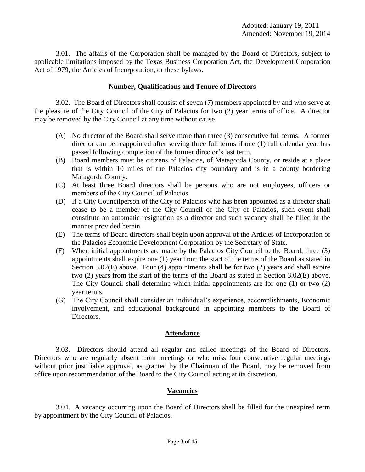3.01. The affairs of the Corporation shall be managed by the Board of Directors, subject to applicable limitations imposed by the Texas Business Corporation Act, the Development Corporation Act of 1979, the Articles of Incorporation, or these bylaws.

## **Number, Qualifications and Tenure of Directors**

3.02. The Board of Directors shall consist of seven (7) members appointed by and who serve at the pleasure of the City Council of the City of Palacios for two (2) year terms of office. A director may be removed by the City Council at any time without cause.

- (A) No director of the Board shall serve more than three (3) consecutive full terms. A former director can be reappointed after serving three full terms if one (1) full calendar year has passed following completion of the former director's last term.
- (B) Board members must be citizens of Palacios, of Matagorda County, or reside at a place that is within 10 miles of the Palacios city boundary and is in a county bordering Matagorda County.
- (C) At least three Board directors shall be persons who are not employees, officers or members of the City Council of Palacios.
- (D) If a City Councilperson of the City of Palacios who has been appointed as a director shall cease to be a member of the City Council of the City of Palacios, such event shall constitute an automatic resignation as a director and such vacancy shall be filled in the manner provided herein.
- (E) The terms of Board directors shall begin upon approval of the Articles of Incorporation of the Palacios Economic Development Corporation by the Secretary of State.
- (F) When initial appointments are made by the Palacios City Council to the Board, three (3) appointments shall expire one (1) year from the start of the terms of the Board as stated in Section 3.02(E) above. Four (4) appointments shall be for two (2) years and shall expire two (2) years from the start of the terms of the Board as stated in Section 3.02(E) above. The City Council shall determine which initial appointments are for one (1) or two (2) year terms.
- (G) The City Council shall consider an individual's experience, accomplishments, Economic involvement, and educational background in appointing members to the Board of Directors.

## **Attendance**

3.03. Directors should attend all regular and called meetings of the Board of Directors. Directors who are regularly absent from meetings or who miss four consecutive regular meetings without prior justifiable approval, as granted by the Chairman of the Board, may be removed from office upon recommendation of the Board to the City Council acting at its discretion.

## **Vacancies**

3.04. A vacancy occurring upon the Board of Directors shall be filled for the unexpired term by appointment by the City Council of Palacios.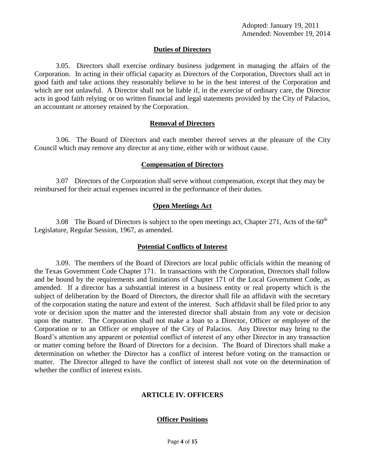# **Duties of Directors**

3.05. Directors shall exercise ordinary business judgement in managing the affairs of the Corporation. In acting in their official capacity as Directors of the Corporation, Directors shall act in good faith and take actions they reasonably believe to be in the best interest of the Corporation and which are not unlawful. A Director shall not be liable if, in the exercise of ordinary care, the Director acts in good faith relying or on written financial and legal statements provided by the City of Palacios, an accountant or attorney retained by the Corporation.

## **Removal of Directors**

3.06. The Board of Directors and each member thereof serves at the pleasure of the City Council which may remove any director at any time, either with or without cause.

## **Compensation of Directors**

3.07 Directors of the Corporation shall serve without compensation, except that they may be reimbursed for their actual expenses incurred in the performance of their duties.

## **Open Meetings Act**

3.08 The Board of Directors is subject to the open meetings act, Chapter 271, Acts of the  $60<sup>th</sup>$ Legislature, Regular Session, 1967, as amended.

## **Potential Conflicts of Interest**

3.09. The members of the Board of Directors are local public officials within the meaning of the Texas Government Code Chapter 171. In transactions with the Corporation, Directors shall follow and be bound by the requirements and limitations of Chapter 171 of the Local Government Code, as amended. If a director has a substantial interest in a business entity or real property which is the subject of deliberation by the Board of Directors, the director shall file an affidavit with the secretary of the corporation stating the nature and extent of the interest. Such affidavit shall be filed prior to any vote or decision upon the matter and the interested director shall abstain from any vote or decision upon the matter. The Corporation shall not make a loan to a Director, Officer or employee of the Corporation or to an Officer or employee of the City of Palacios. Any Director may bring to the Board's attention any apparent or potential conflict of interest of any other Director in any transaction or matter coming before the Board of Directors for a decision. The Board of Directors shall make a determination on whether the Director has a conflict of interest before voting on the transaction or matter. The Director alleged to have the conflict of interest shall not vote on the determination of whether the conflict of interest exists.

# **ARTICLE IV. OFFICERS**

## **Officer Positions**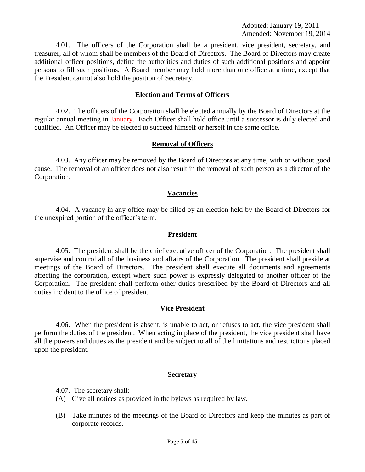Adopted: January 19, 2011 Amended: November 19, 2014

4.01. The officers of the Corporation shall be a president, vice president, secretary, and treasurer, all of whom shall be members of the Board of Directors. The Board of Directors may create additional officer positions, define the authorities and duties of such additional positions and appoint persons to fill such positions. A Board member may hold more than one office at a time, except that the President cannot also hold the position of Secretary.

### **Election and Terms of Officers**

4.02. The officers of the Corporation shall be elected annually by the Board of Directors at the regular annual meeting in January. Each Officer shall hold office until a successor is duly elected and qualified. An Officer may be elected to succeed himself or herself in the same office.

### **Removal of Officers**

4.03. Any officer may be removed by the Board of Directors at any time, with or without good cause. The removal of an officer does not also result in the removal of such person as a director of the Corporation.

### **Vacancies**

4.04. A vacancy in any office may be filled by an election held by the Board of Directors for the unexpired portion of the officer's term.

### **President**

4.05. The president shall be the chief executive officer of the Corporation. The president shall supervise and control all of the business and affairs of the Corporation. The president shall preside at meetings of the Board of Directors. The president shall execute all documents and agreements affecting the corporation, except where such power is expressly delegated to another officer of the Corporation. The president shall perform other duties prescribed by the Board of Directors and all duties incident to the office of president.

### **Vice President**

4.06. When the president is absent, is unable to act, or refuses to act, the vice president shall perform the duties of the president. When acting in place of the president, the vice president shall have all the powers and duties as the president and be subject to all of the limitations and restrictions placed upon the president.

### **Secretary**

4.07. The secretary shall:

- (A) Give all notices as provided in the bylaws as required by law.
- (B) Take minutes of the meetings of the Board of Directors and keep the minutes as part of corporate records.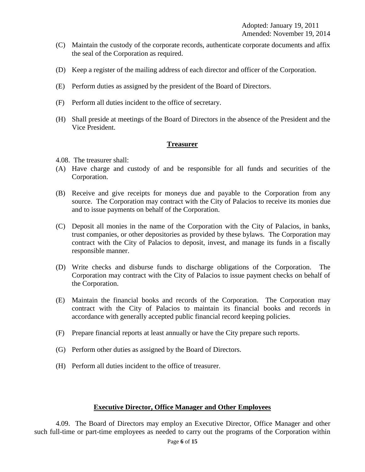- (C) Maintain the custody of the corporate records, authenticate corporate documents and affix the seal of the Corporation as required.
- (D) Keep a register of the mailing address of each director and officer of the Corporation.
- (E) Perform duties as assigned by the president of the Board of Directors.
- (F) Perform all duties incident to the office of secretary.
- (H) Shall preside at meetings of the Board of Directors in the absence of the President and the Vice President.

## **Treasurer**

- 4.08. The treasurer shall:
- (A) Have charge and custody of and be responsible for all funds and securities of the Corporation.
- (B) Receive and give receipts for moneys due and payable to the Corporation from any source. The Corporation may contract with the City of Palacios to receive its monies due and to issue payments on behalf of the Corporation.
- (C) Deposit all monies in the name of the Corporation with the City of Palacios, in banks, trust companies, or other depositories as provided by these bylaws. The Corporation may contract with the City of Palacios to deposit, invest, and manage its funds in a fiscally responsible manner.
- (D) Write checks and disburse funds to discharge obligations of the Corporation. The Corporation may contract with the City of Palacios to issue payment checks on behalf of the Corporation.
- (E) Maintain the financial books and records of the Corporation. The Corporation may contract with the City of Palacios to maintain its financial books and records in accordance with generally accepted public financial record keeping policies.
- (F) Prepare financial reports at least annually or have the City prepare such reports.
- (G) Perform other duties as assigned by the Board of Directors.
- (H) Perform all duties incident to the office of treasurer.

## **Executive Director, Office Manager and Other Employees**

4.09. The Board of Directors may employ an Executive Director, Office Manager and other such full-time or part-time employees as needed to carry out the programs of the Corporation within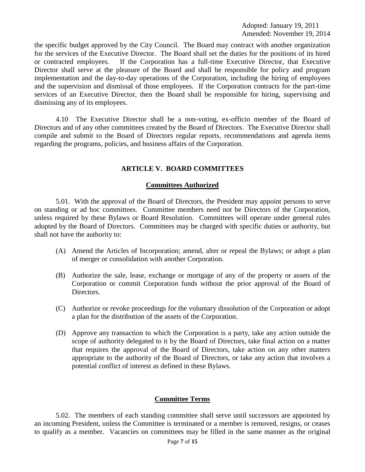Adopted: January 19, 2011 Amended: November 19, 2014

the specific budget approved by the City Council. The Board may contract with another organization for the services of the Executive Director. The Board shall set the duties for the positions of its hired or contracted employees. If the Corporation has a full-time Executive Director, that Executive Director shall serve at the pleasure of the Board and shall be responsible for policy and program implementation and the day-to-day operations of the Corporation, including the hiring of employees and the supervision and dismissal of those employees. If the Corporation contracts for the part-time services of an Executive Director, then the Board shall be responsible for hiring, supervising and dismissing any of its employees.

4.10 The Executive Director shall be a non-voting, ex-officio member of the Board of Directors and of any other committees created by the Board of Directors. The Executive Director shall compile and submit to the Board of Directors regular reports, recommendations and agenda items regarding the programs, policies, and business affairs of the Corporation.

## **ARTICLE V. BOARD COMMITTEES**

### **Committees Authorized**

5.01. With the approval of the Board of Directors, the President may appoint persons to serve on standing or ad hoc committees. Committee members need not be Directors of the Corporation, unless required by these Bylaws or Board Resolution. Committees will operate under general rules adopted by the Board of Directors. Committees may be charged with specific duties or authority, but shall not have the authority to:

- (A) Amend the Articles of Incorporation; amend, alter or repeal the Bylaws; or adopt a plan of merger or consolidation with another Corporation.
- (B) Authorize the sale, lease, exchange or mortgage of any of the property or assets of the Corporation or commit Corporation funds without the prior approval of the Board of Directors.
- (C) Authorize or revoke proceedings for the voluntary dissolution of the Corporation or adopt a plan for the distribution of the assets of the Corporation.
- (D) Approve any transaction to which the Corporation is a party, take any action outside the scope of authority delegated to it by the Board of Directors, take final action on a matter that requires the approval of the Board of Directors, take action on any other matters appropriate to the authority of the Board of Directors, or take any action that involves a potential conflict of interest as defined in these Bylaws.

## **Committee Terms**

5.02. The members of each standing committee shall serve until successors are appointed by an incoming President, unless the Committee is terminated or a member is removed, resigns, or ceases to qualify as a member. Vacancies on committees may be filled in the same manner as the original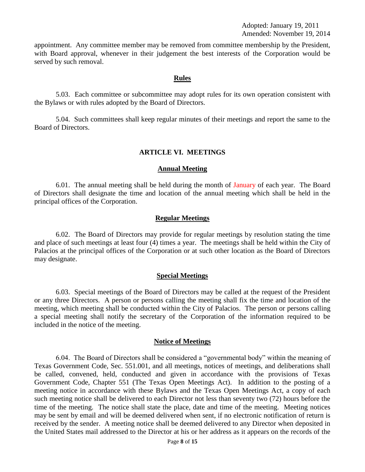appointment. Any committee member may be removed from committee membership by the President, with Board approval, whenever in their judgement the best interests of the Corporation would be served by such removal.

### **Rules**

5.03. Each committee or subcommittee may adopt rules for its own operation consistent with the Bylaws or with rules adopted by the Board of Directors.

5.04. Such committees shall keep regular minutes of their meetings and report the same to the Board of Directors.

### **ARTICLE VI. MEETINGS**

#### **Annual Meeting**

6.01. The annual meeting shall be held during the month of January of each year. The Board of Directors shall designate the time and location of the annual meeting which shall be held in the principal offices of the Corporation.

### **Regular Meetings**

6.02. The Board of Directors may provide for regular meetings by resolution stating the time and place of such meetings at least four (4) times a year. The meetings shall be held within the City of Palacios at the principal offices of the Corporation or at such other location as the Board of Directors may designate.

#### **Special Meetings**

6.03. Special meetings of the Board of Directors may be called at the request of the President or any three Directors. A person or persons calling the meeting shall fix the time and location of the meeting, which meeting shall be conducted within the City of Palacios. The person or persons calling a special meeting shall notify the secretary of the Corporation of the information required to be included in the notice of the meeting.

### **Notice of Meetings**

6.04. The Board of Directors shall be considered a "governmental body" within the meaning of Texas Government Code, Sec. 551.001, and all meetings, notices of meetings, and deliberations shall be called, convened, held, conducted and given in accordance with the provisions of Texas Government Code, Chapter 551 (The Texas Open Meetings Act). In addition to the posting of a meeting notice in accordance with these Bylaws and the Texas Open Meetings Act, a copy of each such meeting notice shall be delivered to each Director not less than seventy two (72) hours before the time of the meeting. The notice shall state the place, date and time of the meeting. Meeting notices may be sent by email and will be deemed delivered when sent, if no electronic notification of return is received by the sender. A meeting notice shall be deemed delivered to any Director when deposited in the United States mail addressed to the Director at his or her address as it appears on the records of the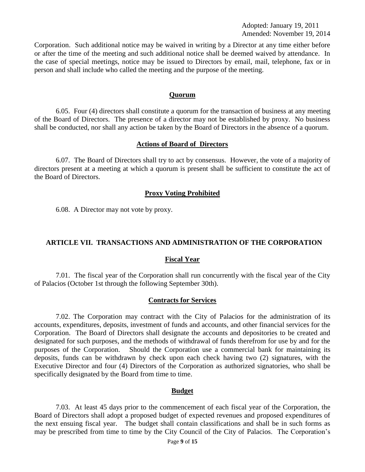Adopted: January 19, 2011 Amended: November 19, 2014

Corporation. Such additional notice may be waived in writing by a Director at any time either before or after the time of the meeting and such additional notice shall be deemed waived by attendance. In the case of special meetings, notice may be issued to Directors by email, mail, telephone, fax or in person and shall include who called the meeting and the purpose of the meeting.

### **Quorum**

6.05. Four (4) directors shall constitute a quorum for the transaction of business at any meeting of the Board of Directors. The presence of a director may not be established by proxy. No business shall be conducted, nor shall any action be taken by the Board of Directors in the absence of a quorum.

#### **Actions of Board of Directors**

6.07. The Board of Directors shall try to act by consensus. However, the vote of a majority of directors present at a meeting at which a quorum is present shall be sufficient to constitute the act of the Board of Directors.

### **Proxy Voting Prohibited**

6.08. A Director may not vote by proxy.

## **ARTICLE VII. TRANSACTIONS AND ADMINISTRATION OF THE CORPORATION**

### **Fiscal Year**

7.01. The fiscal year of the Corporation shall run concurrently with the fiscal year of the City of Palacios (October 1st through the following September 30th).

### **Contracts for Services**

7.02. The Corporation may contract with the City of Palacios for the administration of its accounts, expenditures, deposits, investment of funds and accounts, and other financial services for the Corporation. The Board of Directors shall designate the accounts and depositories to be created and designated for such purposes, and the methods of withdrawal of funds therefrom for use by and for the purposes of the Corporation. Should the Corporation use a commercial bank for maintaining its deposits, funds can be withdrawn by check upon each check having two (2) signatures, with the Executive Director and four (4) Directors of the Corporation as authorized signatories, who shall be specifically designated by the Board from time to time.

### **Budget**

7.03. At least 45 days prior to the commencement of each fiscal year of the Corporation, the Board of Directors shall adopt a proposed budget of expected revenues and proposed expenditures of the next ensuing fiscal year. The budget shall contain classifications and shall be in such forms as may be prescribed from time to time by the City Council of the City of Palacios. The Corporation's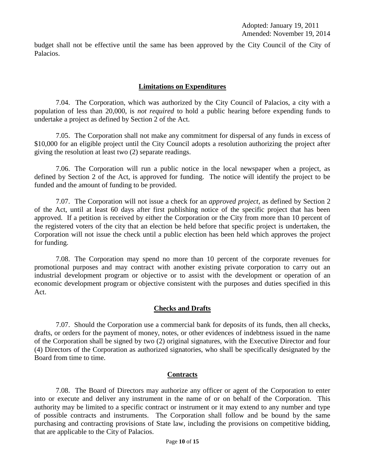budget shall not be effective until the same has been approved by the City Council of the City of Palacios.

## **Limitations on Expenditures**

7.04. The Corporation, which was authorized by the City Council of Palacios, a city with a population of less than 20,000, is *not required* to hold a public hearing before expending funds to undertake a project as defined by Section 2 of the Act.

7.05. The Corporation shall not make any commitment for dispersal of any funds in excess of \$10,000 for an eligible project until the City Council adopts a resolution authorizing the project after giving the resolution at least two (2) separate readings.

7.06. The Corporation will run a public notice in the local newspaper when a project, as defined by Section 2 of the Act, is approved for funding. The notice will identify the project to be funded and the amount of funding to be provided.

7.07. The Corporation will not issue a check for an *approved project,* as defined by Section 2 of the Act, until at least 60 days after first publishing notice of the specific project that has been approved. If a petition is received by either the Corporation or the City from more than 10 percent of the registered voters of the city that an election be held before that specific project is undertaken, the Corporation will not issue the check until a public election has been held which approves the project for funding.

7.08. The Corporation may spend no more than 10 percent of the corporate revenues for promotional purposes and may contract with another existing private corporation to carry out an industrial development program or objective or to assist with the development or operation of an economic development program or objective consistent with the purposes and duties specified in this Act.

## **Checks and Drafts**

7.07. Should the Corporation use a commercial bank for deposits of its funds, then all checks, drafts, or orders for the payment of money, notes, or other evidences of indebtness issued in the name of the Corporation shall be signed by two (2) original signatures, with the Executive Director and four (4) Directors of the Corporation as authorized signatories, who shall be specifically designated by the Board from time to time.

## **Contracts**

7.08. The Board of Directors may authorize any officer or agent of the Corporation to enter into or execute and deliver any instrument in the name of or on behalf of the Corporation. This authority may be limited to a specific contract or instrument or it may extend to any number and type of possible contracts and instruments. The Corporation shall follow and be bound by the same purchasing and contracting provisions of State law, including the provisions on competitive bidding, that are applicable to the City of Palacios.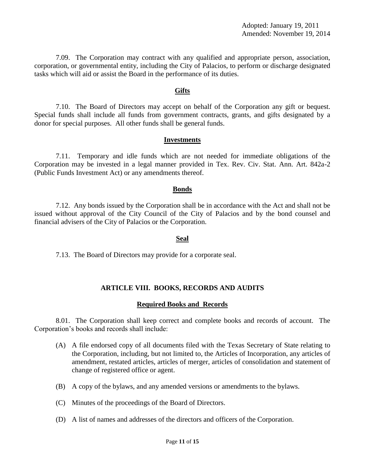7.09. The Corporation may contract with any qualified and appropriate person, association, corporation, or governmental entity, including the City of Palacios, to perform or discharge designated tasks which will aid or assist the Board in the performance of its duties.

### **Gifts**

7.10. The Board of Directors may accept on behalf of the Corporation any gift or bequest. Special funds shall include all funds from government contracts, grants, and gifts designated by a donor for special purposes. All other funds shall be general funds.

### **Investments**

7.11. Temporary and idle funds which are not needed for immediate obligations of the Corporation may be invested in a legal manner provided in Tex. Rev. Civ. Stat. Ann. Art. 842a-2 (Public Funds Investment Act) or any amendments thereof.

### **Bonds**

7.12. Any bonds issued by the Corporation shall be in accordance with the Act and shall not be issued without approval of the City Council of the City of Palacios and by the bond counsel and financial advisers of the City of Palacios or the Corporation.

### **Seal**

7.13. The Board of Directors may provide for a corporate seal.

## **ARTICLE VIII. BOOKS, RECORDS AND AUDITS**

## **Required Books and Records**

8.01. The Corporation shall keep correct and complete books and records of account. The Corporation's books and records shall include:

- (A) A file endorsed copy of all documents filed with the Texas Secretary of State relating to the Corporation, including, but not limited to, the Articles of Incorporation, any articles of amendment, restated articles, articles of merger, articles of consolidation and statement of change of registered office or agent.
- (B) A copy of the bylaws, and any amended versions or amendments to the bylaws.
- (C) Minutes of the proceedings of the Board of Directors.
- (D) A list of names and addresses of the directors and officers of the Corporation.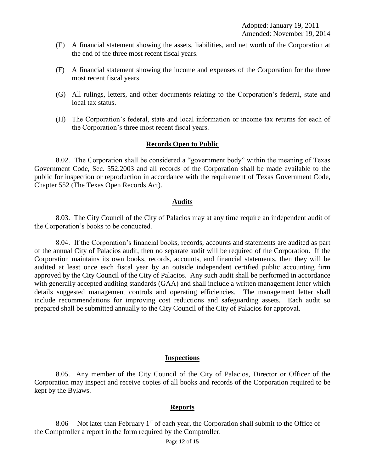- (E) A financial statement showing the assets, liabilities, and net worth of the Corporation at the end of the three most recent fiscal years.
- (F) A financial statement showing the income and expenses of the Corporation for the three most recent fiscal years.
- (G) All rulings, letters, and other documents relating to the Corporation's federal, state and local tax status.
- (H) The Corporation's federal, state and local information or income tax returns for each of the Corporation's three most recent fiscal years.

### **Records Open to Public**

8.02. The Corporation shall be considered a "government body" within the meaning of Texas Government Code, Sec. 552.2003 and all records of the Corporation shall be made available to the public for inspection or reproduction in accordance with the requirement of Texas Government Code, Chapter 552 (The Texas Open Records Act).

### **Audits**

8.03. The City Council of the City of Palacios may at any time require an independent audit of the Corporation's books to be conducted.

8.04. If the Corporation's financial books, records, accounts and statements are audited as part of the annual City of Palacios audit, then no separate audit will be required of the Corporation. If the Corporation maintains its own books, records, accounts, and financial statements, then they will be audited at least once each fiscal year by an outside independent certified public accounting firm approved by the City Council of the City of Palacios. Any such audit shall be performed in accordance with generally accepted auditing standards (GAA) and shall include a written management letter which details suggested management controls and operating efficiencies. The management letter shall include recommendations for improving cost reductions and safeguarding assets. Each audit so prepared shall be submitted annually to the City Council of the City of Palacios for approval.

### **Inspections**

8.05. Any member of the City Council of the City of Palacios, Director or Officer of the Corporation may inspect and receive copies of all books and records of the Corporation required to be kept by the Bylaws.

### **Reports**

8.06 Not later than February  $1<sup>st</sup>$  of each year, the Corporation shall submit to the Office of the Comptroller a report in the form required by the Comptroller.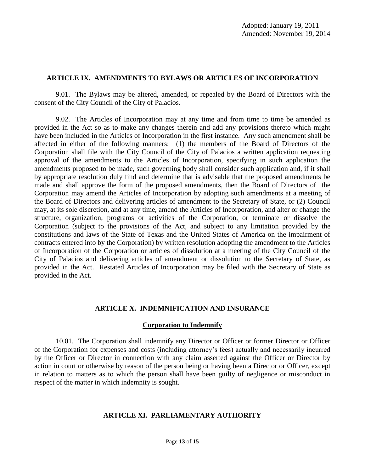## **ARTICLE IX. AMENDMENTS TO BYLAWS OR ARTICLES OF INCORPORATION**

9.01. The Bylaws may be altered, amended, or repealed by the Board of Directors with the consent of the City Council of the City of Palacios.

9.02. The Articles of Incorporation may at any time and from time to time be amended as provided in the Act so as to make any changes therein and add any provisions thereto which might have been included in the Articles of Incorporation in the first instance. Any such amendment shall be affected in either of the following manners: (1) the members of the Board of Directors of the Corporation shall file with the City Council of the City of Palacios a written application requesting approval of the amendments to the Articles of Incorporation, specifying in such application the amendments proposed to be made, such governing body shall consider such application and, if it shall by appropriate resolution duly find and determine that is advisable that the proposed amendments be made and shall approve the form of the proposed amendments, then the Board of Directors of the Corporation may amend the Articles of Incorporation by adopting such amendments at a meeting of the Board of Directors and delivering articles of amendment to the Secretary of State, or (2) Council may, at its sole discretion, and at any time, amend the Articles of Incorporation, and alter or change the structure, organization, programs or activities of the Corporation, or terminate or dissolve the Corporation (subject to the provisions of the Act, and subject to any limitation provided by the constitutions and laws of the State of Texas and the United States of America on the impairment of contracts entered into by the Corporation) by written resolution adopting the amendment to the Articles of Incorporation of the Corporation or articles of dissolution at a meeting of the City Council of the City of Palacios and delivering articles of amendment or dissolution to the Secretary of State, as provided in the Act. Restated Articles of Incorporation may be filed with the Secretary of State as provided in the Act.

# **ARTICLE X. INDEMNIFICATION AND INSURANCE**

## **Corporation to Indemnify**

10.01. The Corporation shall indemnify any Director or Officer or former Director or Officer of the Corporation for expenses and costs (including attorney's fees) actually and necessarily incurred by the Officer or Director in connection with any claim asserted against the Officer or Director by action in court or otherwise by reason of the person being or having been a Director or Officer, except in relation to matters as to which the person shall have been guilty of negligence or misconduct in respect of the matter in which indemnity is sought.

## **ARTICLE XI. PARLIAMENTARY AUTHORITY**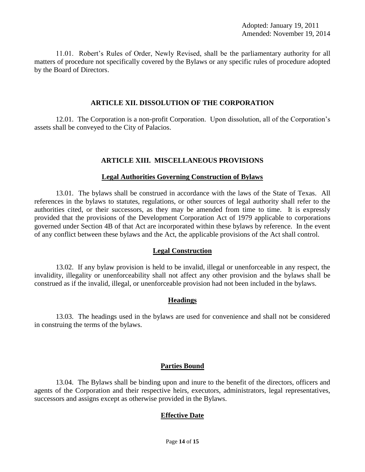11.01. Robert's Rules of Order, Newly Revised, shall be the parliamentary authority for all matters of procedure not specifically covered by the Bylaws or any specific rules of procedure adopted by the Board of Directors.

### **ARTICLE XII. DISSOLUTION OF THE CORPORATION**

12.01. The Corporation is a non-profit Corporation. Upon dissolution, all of the Corporation's assets shall be conveyed to the City of Palacios.

## **ARTICLE XIII. MISCELLANEOUS PROVISIONS**

## **Legal Authorities Governing Construction of Bylaws**

13.01. The bylaws shall be construed in accordance with the laws of the State of Texas. All references in the bylaws to statutes, regulations, or other sources of legal authority shall refer to the authorities cited, or their successors, as they may be amended from time to time. It is expressly provided that the provisions of the Development Corporation Act of 1979 applicable to corporations governed under Section 4B of that Act are incorporated within these bylaws by reference. In the event of any conflict between these bylaws and the Act, the applicable provisions of the Act shall control.

## **Legal Construction**

13.02. If any bylaw provision is held to be invalid, illegal or unenforceable in any respect, the invalidity, illegality or unenforceability shall not affect any other provision and the bylaws shall be construed as if the invalid, illegal, or unenforceable provision had not been included in the bylaws.

# **Headings**

13.03. The headings used in the bylaws are used for convenience and shall not be considered in construing the terms of the bylaws.

# **Parties Bound**

13.04. The Bylaws shall be binding upon and inure to the benefit of the directors, officers and agents of the Corporation and their respective heirs, executors, administrators, legal representatives, successors and assigns except as otherwise provided in the Bylaws.

# **Effective Date**